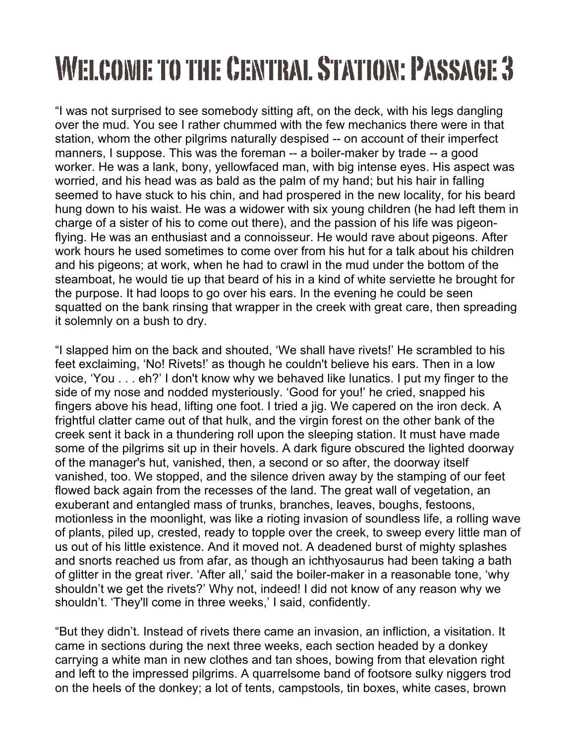## Welcome to the Central Station: Passage 3

"I was not surprised to see somebody sitting aft, on the deck, with his legs dangling over the mud. You see I rather chummed with the few mechanics there were in that station, whom the other pilgrims naturally despised -- on account of their imperfect manners, I suppose. This was the foreman -- a boiler-maker by trade -- a good worker. He was a lank, bony, yellowfaced man, with big intense eyes. His aspect was worried, and his head was as bald as the palm of my hand; but his hair in falling seemed to have stuck to his chin, and had prospered in the new locality, for his beard hung down to his waist. He was a widower with six young children (he had left them in charge of a sister of his to come out there), and the passion of his life was pigeonflying. He was an enthusiast and a connoisseur. He would rave about pigeons. After work hours he used sometimes to come over from his hut for a talk about his children and his pigeons; at work, when he had to crawl in the mud under the bottom of the steamboat, he would tie up that beard of his in a kind of white serviette he brought for the purpose. It had loops to go over his ears. In the evening he could be seen squatted on the bank rinsing that wrapper in the creek with great care, then spreading it solemnly on a bush to dry.

"I slapped him on the back and shouted, 'We shall have rivets!' He scrambled to his feet exclaiming, 'No! Rivets!' as though he couldn't believe his ears. Then in a low voice, 'You . . . eh?' I don't know why we behaved like lunatics. I put my finger to the side of my nose and nodded mysteriously. 'Good for you!' he cried, snapped his fingers above his head, lifting one foot. I tried a jig. We capered on the iron deck. A frightful clatter came out of that hulk, and the virgin forest on the other bank of the creek sent it back in a thundering roll upon the sleeping station. It must have made some of the pilgrims sit up in their hovels. A dark figure obscured the lighted doorway of the manager's hut, vanished, then, a second or so after, the doorway itself vanished, too. We stopped, and the silence driven away by the stamping of our feet flowed back again from the recesses of the land. The great wall of vegetation, an exuberant and entangled mass of trunks, branches, leaves, boughs, festoons, motionless in the moonlight, was like a rioting invasion of soundless life, a rolling wave of plants, piled up, crested, ready to topple over the creek, to sweep every little man of us out of his little existence. And it moved not. A deadened burst of mighty splashes and snorts reached us from afar, as though an ichthyosaurus had been taking a bath of glitter in the great river. 'After all,' said the boiler-maker in a reasonable tone, 'why shouldn't we get the rivets?' Why not, indeed! I did not know of any reason why we shouldn't. 'They'll come in three weeks,' I said, confidently.

"But they didn't. Instead of rivets there came an invasion, an infliction, a visitation. It came in sections during the next three weeks, each section headed by a donkey carrying a white man in new clothes and tan shoes, bowing from that elevation right and left to the impressed pilgrims. A quarrelsome band of footsore sulky niggers trod on the heels of the donkey; a lot of tents, campstools, tin boxes, white cases, brown